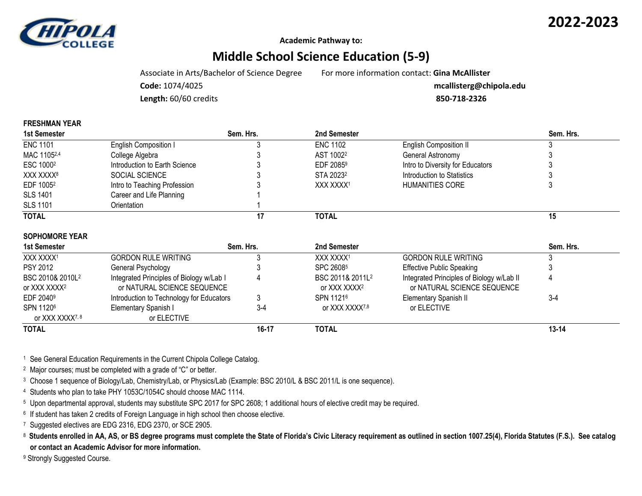



**Academic Pathway to:**

## **Middle School Science Education (5-9)**

Associate in Arts/Bachelor of Science Degree For more information contact: **Gina McAllister**

**Code:** 1074/4025 **mcallisterg@chipola.edu**

**Length:** 60/60 credits **850-718-2326**

| <b>FRESHMAN YEAR</b> |                              |
|----------------------|------------------------------|
| 1st Semester         |                              |
| <b>ENC 1101</b>      | <b>English Composition I</b> |

| 1st Semester          |                               | Sem. Hrs. | 2nd Semester          |                                  | Sem. Hrs. |  |
|-----------------------|-------------------------------|-----------|-----------------------|----------------------------------|-----------|--|
| <b>ENC 1101</b>       | <b>English Composition I</b>  |           | <b>ENC 1102</b>       | <b>English Composition II</b>    |           |  |
| MAC 11052,4           | College Algebra               |           | AST 1002 <sup>2</sup> | General Astronomy                |           |  |
| ESC 1000 <sup>2</sup> | Introduction to Earth Science |           | EDF 2085 <sup>9</sup> | Intro to Diversity for Educators |           |  |
| XXX XXXX8             | SOCIAL SCIENCE                |           | STA 2023 <sup>2</sup> | Introduction to Statistics       |           |  |
| EDF 1005 <sup>2</sup> | Intro to Teaching Profession  |           | XXX XXXX1             | <b>HUMANITIES CORE</b>           |           |  |
| <b>SLS 1401</b>       | Career and Life Planning      |           |                       |                                  |           |  |
| <b>SLS 1101</b>       | Orientation                   |           |                       |                                  |           |  |
| <b>TOTAL</b>          |                               |           | <b>TOTAL</b>          |                                  | 15        |  |

| <b>SOPHOMORE YEAR</b>                                    |                                                                         |           |                                                          |                                                                          |           |
|----------------------------------------------------------|-------------------------------------------------------------------------|-----------|----------------------------------------------------------|--------------------------------------------------------------------------|-----------|
| 1st Semester                                             |                                                                         | Sem. Hrs. | 2nd Semester                                             |                                                                          | Sem. Hrs. |
| XXX XXXX <sup>1</sup>                                    | <b>GORDON RULE WRITING</b>                                              |           | XXX XXXX1                                                | <b>GORDON RULE WRITING</b>                                               |           |
| <b>PSY 2012</b>                                          | General Psychology                                                      |           | SPC 26085                                                | <b>Effective Public Speaking</b>                                         |           |
| BSC 2010& 2010L <sup>2</sup><br>or XXX XXXX <sup>2</sup> | Integrated Principles of Biology w/Lab I<br>or NATURAL SCIENCE SEQUENCE |           | BSC 2011& 2011L <sup>2</sup><br>or XXX XXXX <sup>2</sup> | Integrated Principles of Biology w/Lab II<br>or NATURAL SCIENCE SEQUENCE |           |
| EDF 2040 <sup>9</sup>                                    | Introduction to Technology for Educators                                |           | SPN 11216                                                | Elementary Spanish II                                                    | $3-4$     |
| SPN 11206<br>or XXX XXXX <sup>7,8</sup>                  | Elementary Spanish I<br>or ELECTIVE                                     | $3 - 4$   | or XXX XXXX7,8                                           | or ELECTIVE                                                              |           |
| <b>TOTAL</b>                                             |                                                                         | 16-17     | <b>TOTAL</b>                                             |                                                                          | $13 - 14$ |

<sup>1</sup> See General Education Requirements in the Current Chipola College Catalog.

<sup>2</sup> Major courses; must be completed with a grade of "C" or better.

<sup>3</sup> Choose 1 sequence of Biology/Lab, Chemistry/Lab, or Physics/Lab (Example: BSC 2010/L & BSC 2011/L is one sequence).

<sup>4</sup> Students who plan to take PHY 1053C/1054C should choose MAC 1114.

<sup>5</sup> Upon departmental approval, students may substitute SPC 2017 for SPC 2608; 1 additional hours of elective credit may be required.

<sup>6</sup> If student has taken 2 credits of Foreign Language in high school then choose elective.

<sup>7</sup> Suggested electives are EDG 2316, EDG 2370, or SCE 2905.

<sup>8</sup>**Students enrolled in AA, AS, or BS degree programs must complete the State of Florida's Civic Literacy requirement as outlined in section 1007.25(4), Florida Statutes (F.S.). See catalog or contact an Academic Advisor for more information.**

9 Strongly Suggested Course.